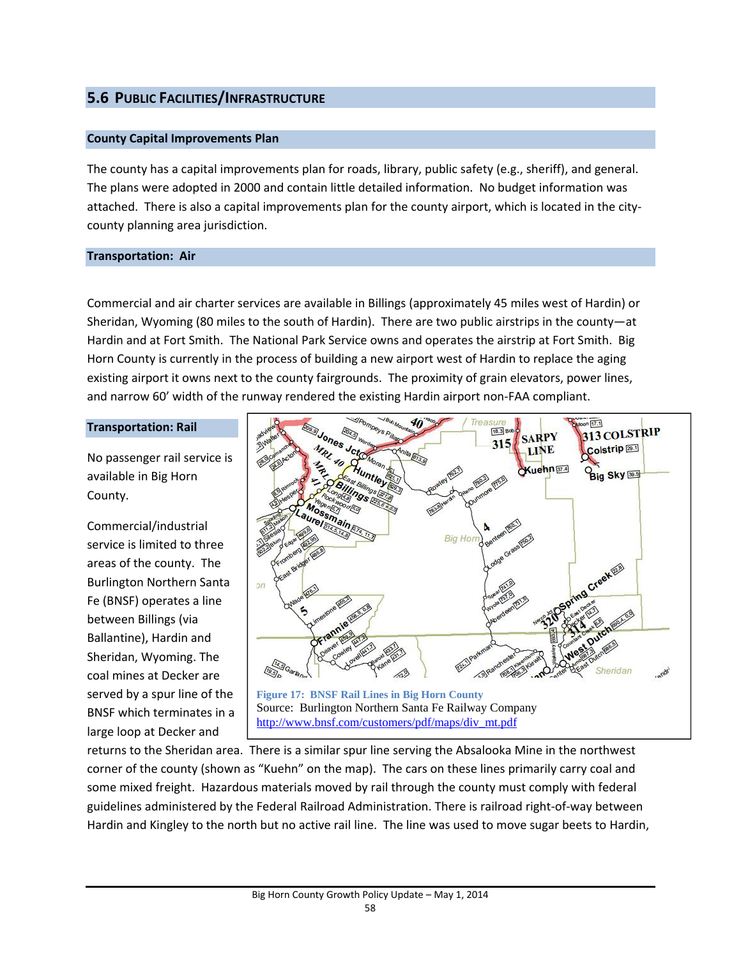# **5.6 PUBLIC FACILITIES/INFRASTRUCTURE**

# **County Capital Improvements Plan**

The county has a capital improvements plan for roads, library, public safety (e.g., sheriff), and general. The plans were adopted in 2000 and contain little detailed information. No budget information was attached. There is also a capital improvements plan for the county airport, which is located in the city‐ county planning area jurisdiction.

# **Transportation: Air**

Commercial and air charter services are available in Billings (approximately 45 miles west of Hardin) or Sheridan, Wyoming (80 miles to the south of Hardin). There are two public airstrips in the county—at Hardin and at Fort Smith. The National Park Service owns and operates the airstrip at Fort Smith. Big Horn County is currently in the process of building a new airport west of Hardin to replace the aging existing airport it owns next to the county fairgrounds. The proximity of grain elevators, power lines, and narrow 60' width of the runway rendered the existing Hardin airport non‐FAA compliant.

# **Transportation: Rail**

No passenger rail service is available in Big Horn County.

Commercial/industrial service is limited to three areas of the county. The Burlington Northern Santa Fe (BNSF) operates a line between Billings (via Ballantine), Hardin and Sheridan, Wyoming. The coal mines at Decker are served by a spur line of the BNSF which terminates in a large loop at Decker and



returns to the Sheridan area. There is a similar spur line serving the Absalooka Mine in the northwest corner of the county (shown as "Kuehn" on the map). The cars on these lines primarily carry coal and some mixed freight. Hazardous materials moved by rail through the county must comply with federal guidelines administered by the Federal Railroad Administration. There is railroad right‐of‐way between Hardin and Kingley to the north but no active rail line. The line was used to move sugar beets to Hardin,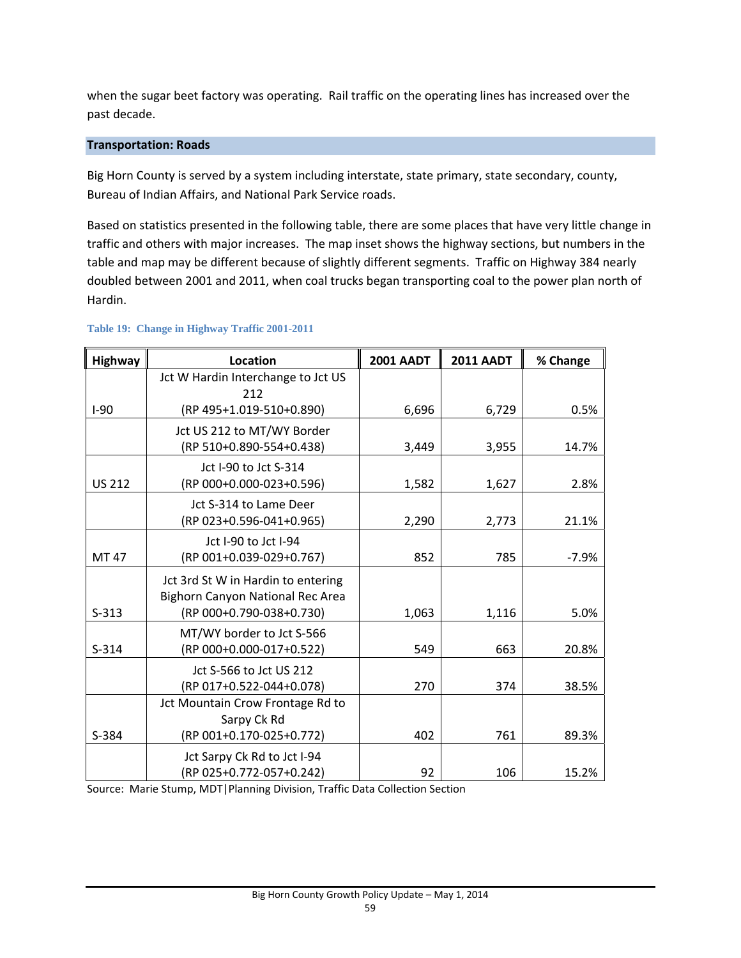when the sugar beet factory was operating. Rail traffic on the operating lines has increased over the past decade.

# **Transportation: Roads**

Big Horn County is served by a system including interstate, state primary, state secondary, county, Bureau of Indian Affairs, and National Park Service roads.

Based on statistics presented in the following table, there are some places that have very little change in traffic and others with major increases. The map inset shows the highway sections, but numbers in the table and map may be different because of slightly different segments. Traffic on Highway 384 nearly doubled between 2001 and 2011, when coal trucks began transporting coal to the power plan north of Hardin.

| <b>Highway</b> | Location                           | <b>2001 AADT</b> | <b>2011 AADT</b> | % Change |
|----------------|------------------------------------|------------------|------------------|----------|
|                | Jct W Hardin Interchange to Jct US |                  |                  |          |
| $I-90$         | 212<br>(RP 495+1.019-510+0.890)    | 6,696            | 6,729            | 0.5%     |
|                | Jct US 212 to MT/WY Border         |                  |                  |          |
|                | (RP 510+0.890-554+0.438)           | 3,449            | 3,955            | 14.7%    |
|                | Jct I-90 to Jct S-314              |                  |                  |          |
| <b>US 212</b>  | (RP 000+0.000-023+0.596)           | 1,582            | 1,627            | 2.8%     |
|                | Jct S-314 to Lame Deer             |                  |                  |          |
|                | (RP 023+0.596-041+0.965)           | 2,290            | 2,773            | 21.1%    |
|                | Jct I-90 to Jct I-94               |                  |                  |          |
| MT 47          | (RP 001+0.039-029+0.767)           | 852              | 785              | $-7.9%$  |
|                | Jct 3rd St W in Hardin to entering |                  |                  |          |
|                | Bighorn Canyon National Rec Area   |                  |                  |          |
| $S-313$        | (RP 000+0.790-038+0.730)           | 1,063            | 1,116            | 5.0%     |
|                | MT/WY border to Jct S-566          |                  |                  |          |
| $S-314$        | (RP 000+0.000-017+0.522)           | 549              | 663              | 20.8%    |
|                | Jct S-566 to Jct US 212            |                  |                  |          |
|                | (RP 017+0.522-044+0.078)           | 270              | 374              | 38.5%    |
|                | Jct Mountain Crow Frontage Rd to   |                  |                  |          |
|                | Sarpy Ck Rd                        |                  |                  |          |
| S-384          | (RP 001+0.170-025+0.772)           | 402              | 761              | 89.3%    |
|                | Jct Sarpy Ck Rd to Jct I-94        |                  |                  |          |
|                | (RP 025+0.772-057+0.242)           | 92               | 106              | 15.2%    |

### **Table 19: Change in Highway Traffic 2001-2011**

Source: Marie Stump, MDT|Planning Division, Traffic Data Collection Section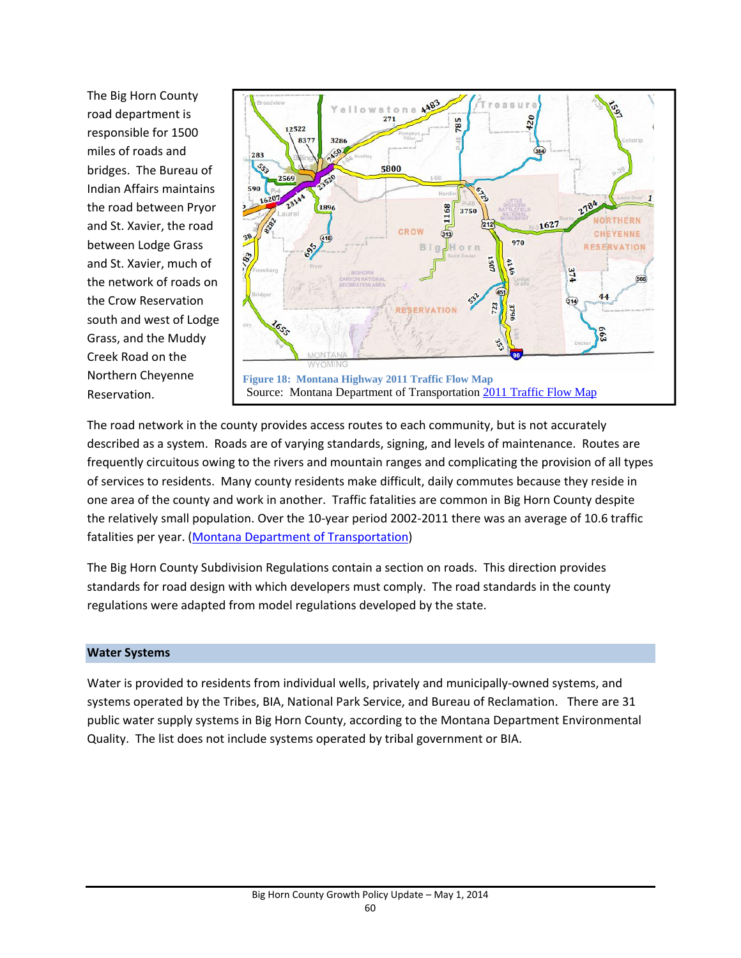The Big Horn County road department is responsible for 1500 miles of roads and bridges. The Bureau of Indian Affairs maintains the road between Pryor and St. Xavier, the road between Lodge Grass and St. Xavier, much of the network of roads on the Crow Reservation south and west of Lodge Grass, and the Muddy Creek Road on the Northern Cheyenne Reservation.



The road network in the county provides access routes to each community, but is not accurately described as a system. Roads are of varying standards, signing, and levels of maintenance. Routes are frequently circuitous owing to the rivers and mountain ranges and complicating the provision of all types of services to residents. Many county residents make difficult, daily commutes because they reside in one area of the county and work in another. Traffic fatalities are common in Big Horn County despite the relatively small population. Over the 10‐year period 2002‐2011 there was an average of 10.6 traffic fatalities per year. (Montana Department of Transportation)

The Big Horn County Subdivision Regulations contain a section on roads. This direction provides standards for road design with which developers must comply. The road standards in the county regulations were adapted from model regulations developed by the state.

# **Water Systems**

Water is provided to residents from individual wells, privately and municipally‐owned systems, and systems operated by the Tribes, BIA, National Park Service, and Bureau of Reclamation. There are 31 public water supply systems in Big Horn County, according to the Montana Department Environmental Quality. The list does not include systems operated by tribal government or BIA.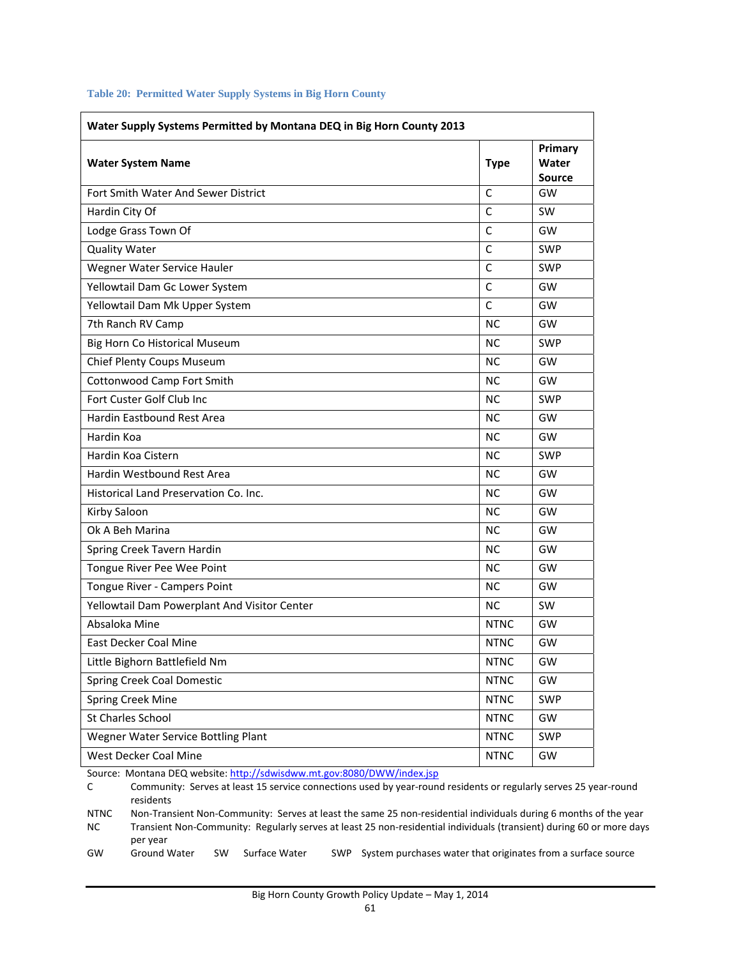| Water Supply Systems Permitted by Montana DEQ in Big Horn County 2013 |              |                                   |  |  |
|-----------------------------------------------------------------------|--------------|-----------------------------------|--|--|
| <b>Water System Name</b>                                              | <b>Type</b>  | Primary<br>Water<br><b>Source</b> |  |  |
| Fort Smith Water And Sewer District                                   | C            | GW                                |  |  |
| Hardin City Of                                                        | C            | <b>SW</b>                         |  |  |
| Lodge Grass Town Of                                                   | $\mathsf{C}$ | GW                                |  |  |
| <b>Quality Water</b>                                                  | C            | <b>SWP</b>                        |  |  |
| Wegner Water Service Hauler                                           | $\mathsf{C}$ | <b>SWP</b>                        |  |  |
| Yellowtail Dam Gc Lower System                                        | C            | GW                                |  |  |
| Yellowtail Dam Mk Upper System                                        | $\mathsf{C}$ | GW                                |  |  |
| 7th Ranch RV Camp                                                     | <b>NC</b>    | GW                                |  |  |
| Big Horn Co Historical Museum                                         | NС           | <b>SWP</b>                        |  |  |
| Chief Plenty Coups Museum                                             | <b>NC</b>    | GW                                |  |  |
| Cottonwood Camp Fort Smith                                            | <b>NC</b>    | GW                                |  |  |
| Fort Custer Golf Club Inc                                             | <b>NC</b>    | <b>SWP</b>                        |  |  |
| <b>Hardin Eastbound Rest Area</b>                                     | ΝC           | GW                                |  |  |
| Hardin Koa                                                            | <b>NC</b>    | GW                                |  |  |
| Hardin Koa Cistern                                                    | ΝC           | <b>SWP</b>                        |  |  |
| Hardin Westbound Rest Area                                            | NС           | GW                                |  |  |
| Historical Land Preservation Co. Inc.                                 | <b>NC</b>    | GW                                |  |  |
| Kirby Saloon                                                          | NС           | GW                                |  |  |
| Ok A Beh Marina                                                       | <b>NC</b>    | GW                                |  |  |
| Spring Creek Tavern Hardin                                            | <b>NC</b>    | GW                                |  |  |
| Tongue River Pee Wee Point                                            | NС           | GW                                |  |  |
| Tongue River - Campers Point                                          | <b>NC</b>    | GW                                |  |  |
| Yellowtail Dam Powerplant And Visitor Center                          | <b>NC</b>    | <b>SW</b>                         |  |  |
| Absaloka Mine                                                         | <b>NTNC</b>  | GW                                |  |  |
| <b>East Decker Coal Mine</b>                                          | <b>NTNC</b>  | GW                                |  |  |
| Little Bighorn Battlefield Nm                                         | <b>NTNC</b>  | GW                                |  |  |
| Spring Creek Coal Domestic                                            | <b>NTNC</b>  | GW                                |  |  |
| Spring Creek Mine                                                     | <b>NTNC</b>  | <b>SWP</b>                        |  |  |
| St Charles School                                                     | <b>NTNC</b>  | GW                                |  |  |
| Wegner Water Service Bottling Plant                                   | <b>NTNC</b>  | <b>SWP</b>                        |  |  |
| West Decker Coal Mine                                                 | <b>NTNC</b>  | GW                                |  |  |

#### **Table 20: Permitted Water Supply Systems in Big Horn County**

Source: Montana DEQ website: http://sdwisdww.mt.gov:8080/DWW/index.jsp

C Community: Serves at least 15 service connections used by year-round residents or regularly serves 25 year-round residents

NTNC Non-Transient Non-Community: Serves at least the same 25 non-residential individuals during 6 months of the year NC Transient Non‐Community: Regularly serves at least 25 non‐residential individuals (transient) during 60 or more days per year<br>Ground Water

GW Ground Water SW Surface Water SWP System purchases water that originates from a surface source